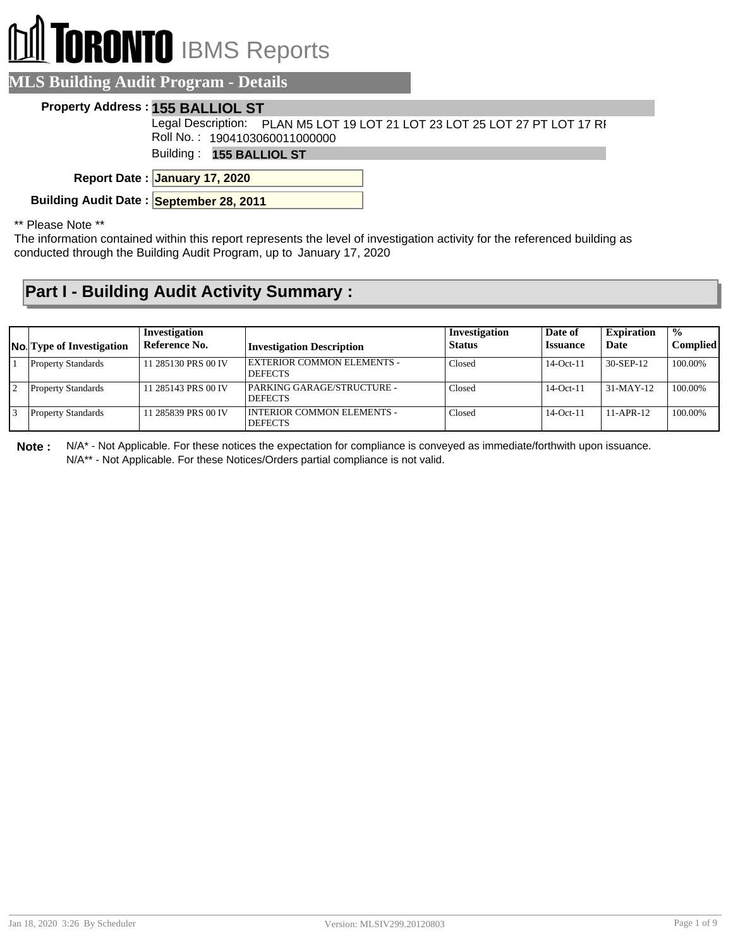# **RONTO** IBMS Reports

### **MLS Building Audit Program - Details**

#### **Property Address : 155 BALLIOL ST**

Legal Description: PLAN M5 LOT 19 LOT 21 LOT 23 LOT 25 LOT 27 PT LOT 17 RF Roll No. : 1904103060011000000

Building : **155 BALLIOL ST**

**January 17, 2020 Report Date :**

**Building Audit Date : September 28, 2011**

#### \*\* Please Note \*\*

The information contained within this report represents the level of investigation activity for the referenced building as conducted through the Building Audit Program, up to January 17, 2020

## **Part I - Building Audit Activity Summary :**

| <b>No.</b> Type of Investigation | Investigation<br>Reference No. | <b>Investigation Description</b>                    | Investigation<br><b>Status</b> | Date of<br><b>Issuance</b> | <b>Expiration</b><br>Date | $\frac{0}{0}$<br><b>Complied</b> |
|----------------------------------|--------------------------------|-----------------------------------------------------|--------------------------------|----------------------------|---------------------------|----------------------------------|
| <b>Property Standards</b>        | 11 285130 PRS 00 IV            | <b>EXTERIOR COMMON ELEMENTS -</b><br><b>DEFECTS</b> | Closed                         | $14$ -Oct-11               | 30-SEP-12                 | 100.00%                          |
| <b>Property Standards</b>        | 11 285143 PRS 00 IV            | PARKING GARAGE/STRUCTURE -<br><b>DEFECTS</b>        | Closed                         | $14-Oct-11$                | $31-MAY-12$               | 100.00%                          |
| <b>Property Standards</b>        | 11 285839 PRS 00 IV            | I INTERIOR COMMON ELEMENTS -<br><b>DEFECTS</b>      | Closed                         | $14$ -Oct-11               | $11-APR-12$               | 100.00%                          |

**Note :** N/A\* - Not Applicable. For these notices the expectation for compliance is conveyed as immediate/forthwith upon issuance. N/A\*\* - Not Applicable. For these Notices/Orders partial compliance is not valid.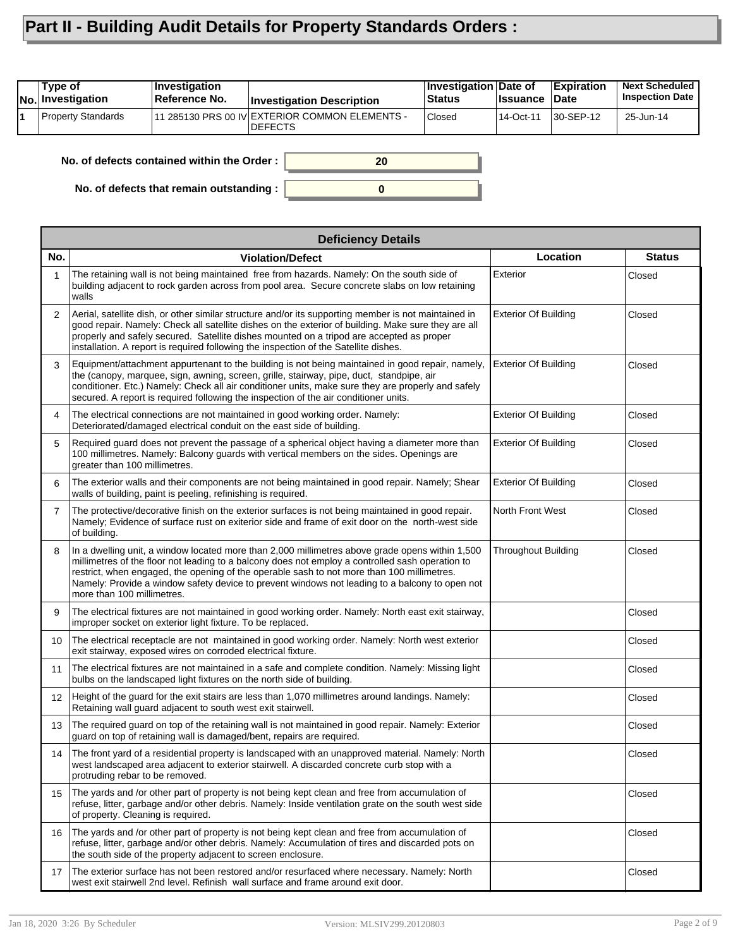## **Part II - Building Audit Details for Property Standards Orders :**

| Type of<br><b>No. Investigation</b> | Investigation<br>∣Reference No.            | <b>Investigation Description</b>                                 | Investigation Date of<br><b>Status</b> | <b>Issuance</b> | <b>Expiration</b><br>Date | <b>Next Scheduled</b><br><b>Inspection Date</b> |
|-------------------------------------|--------------------------------------------|------------------------------------------------------------------|----------------------------------------|-----------------|---------------------------|-------------------------------------------------|
| Property Standards                  |                                            | 11 285130 PRS 00 IV EXTERIOR COMMON ELEMENTS -<br><b>DEFECTS</b> | <b>Closed</b>                          | 14-Oct-11       | 30-SEP-12                 | 25-Jun-14                                       |
|                                     | No. of defects contained within the Order: | 20                                                               |                                        |                 |                           |                                                 |

**0**

**No. of defects that remain outstanding :**

|                | <b>Deficiency Details</b>                                                                                                                                                                                                                                                                                                                                                                                                         |                             |               |
|----------------|-----------------------------------------------------------------------------------------------------------------------------------------------------------------------------------------------------------------------------------------------------------------------------------------------------------------------------------------------------------------------------------------------------------------------------------|-----------------------------|---------------|
| No.            | <b>Violation/Defect</b>                                                                                                                                                                                                                                                                                                                                                                                                           | Location                    | <b>Status</b> |
| 1              | The retaining wall is not being maintained free from hazards. Namely: On the south side of<br>building adjacent to rock garden across from pool area. Secure concrete slabs on low retaining<br>walls                                                                                                                                                                                                                             | Exterior                    | Closed        |
| 2              | Aerial, satellite dish, or other similar structure and/or its supporting member is not maintained in<br>good repair. Namely: Check all satellite dishes on the exterior of building. Make sure they are all<br>properly and safely secured. Satellite dishes mounted on a tripod are accepted as proper<br>installation. A report is required following the inspection of the Satellite dishes.                                   | <b>Exterior Of Building</b> | Closed        |
| 3              | Equipment/attachment appurtenant to the building is not being maintained in good repair, namely,<br>the (canopy, marquee, sign, awning, screen, grille, stairway, pipe, duct, standpipe, air<br>conditioner. Etc.) Namely: Check all air conditioner units, make sure they are properly and safely<br>secured. A report is required following the inspection of the air conditioner units.                                        | <b>Exterior Of Building</b> | Closed        |
| 4              | The electrical connections are not maintained in good working order. Namely:<br>Deteriorated/damaged electrical conduit on the east side of building.                                                                                                                                                                                                                                                                             | <b>Exterior Of Building</b> | Closed        |
| 5              | Required guard does not prevent the passage of a spherical object having a diameter more than<br>100 millimetres. Namely: Balcony guards with vertical members on the sides. Openings are<br>greater than 100 millimetres.                                                                                                                                                                                                        | <b>Exterior Of Building</b> | Closed        |
| 6              | The exterior walls and their components are not being maintained in good repair. Namely; Shear<br>walls of building, paint is peeling, refinishing is required.                                                                                                                                                                                                                                                                   | <b>Exterior Of Building</b> | Closed        |
| $\overline{7}$ | The protective/decorative finish on the exterior surfaces is not being maintained in good repair.<br>Namely; Evidence of surface rust on exiterior side and frame of exit door on the north-west side<br>of building.                                                                                                                                                                                                             | North Front West            | Closed        |
| 8              | In a dwelling unit, a window located more than 2,000 millimetres above grade opens within 1,500<br>millimetres of the floor not leading to a balcony does not employ a controlled sash operation to<br>restrict, when engaged, the opening of the operable sash to not more than 100 millimetres.<br>Namely: Provide a window safety device to prevent windows not leading to a balcony to open not<br>more than 100 millimetres. | <b>Throughout Building</b>  | Closed        |
| 9              | The electrical fixtures are not maintained in good working order. Namely: North east exit stairway,<br>improper socket on exterior light fixture. To be replaced.                                                                                                                                                                                                                                                                 |                             | Closed        |
| 10             | The electrical receptacle are not maintained in good working order. Namely: North west exterior<br>exit stairway, exposed wires on corroded electrical fixture.                                                                                                                                                                                                                                                                   |                             | Closed        |
| 11             | The electrical fixtures are not maintained in a safe and complete condition. Namely: Missing light<br>bulbs on the landscaped light fixtures on the north side of building.                                                                                                                                                                                                                                                       |                             | Closed        |
| 12             | Height of the quard for the exit stairs are less than 1,070 millimetres around landings. Namely:<br>Retaining wall guard adjacent to south west exit stairwell.                                                                                                                                                                                                                                                                   |                             | Closed        |
| 13             | The required quard on top of the retaining wall is not maintained in good repair. Namely: Exterior<br>guard on top of retaining wall is damaged/bent, repairs are required.                                                                                                                                                                                                                                                       |                             | Closed        |
| 14             | The front yard of a residential property is landscaped with an unapproved material. Namely: North<br>west landscaped area adjacent to exterior stairwell. A discarded concrete curb stop with a<br>protruding rebar to be removed.                                                                                                                                                                                                |                             | Closed        |
| 15             | The yards and /or other part of property is not being kept clean and free from accumulation of<br>refuse, litter, garbage and/or other debris. Namely: Inside ventilation grate on the south west side<br>of property. Cleaning is required.                                                                                                                                                                                      |                             | Closed        |
| 16             | The yards and /or other part of property is not being kept clean and free from accumulation of<br>refuse, litter, garbage and/or other debris. Namely: Accumulation of tires and discarded pots on<br>the south side of the property adjacent to screen enclosure.                                                                                                                                                                |                             | Closed        |
| 17             | The exterior surface has not been restored and/or resurfaced where necessary. Namely: North<br>west exit stairwell 2nd level. Refinish wall surface and frame around exit door.                                                                                                                                                                                                                                                   |                             | Closed        |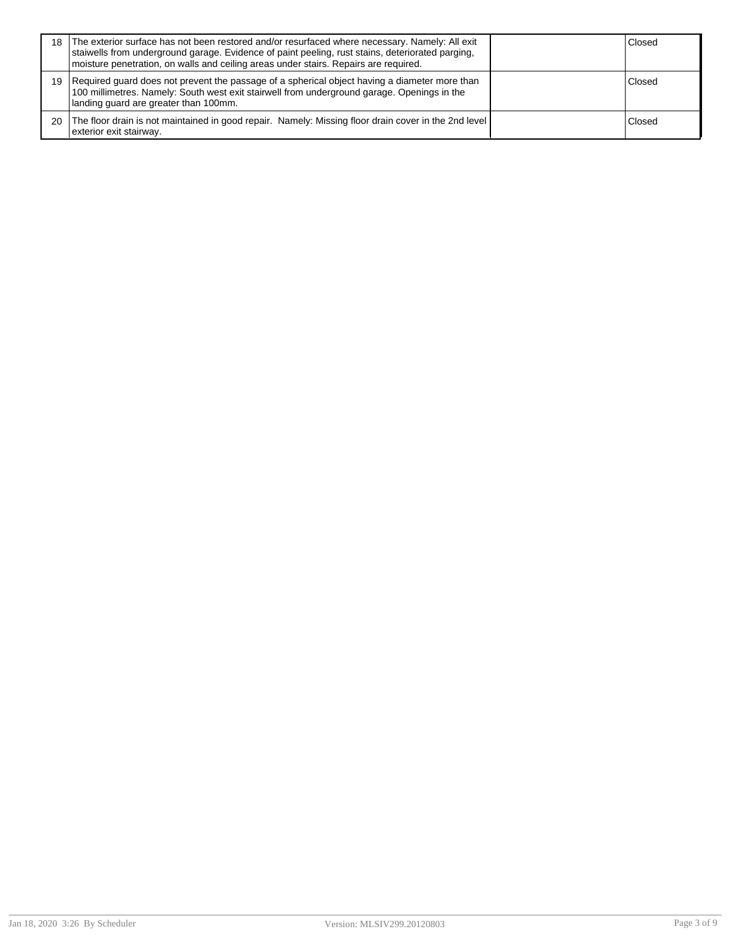| 18 | The exterior surface has not been restored and/or resurfaced where necessary. Namely: All exit<br>staiwells from underground garage. Evidence of paint peeling, rust stains, deteriorated parging,<br>moisture penetration, on walls and ceiling areas under stairs. Repairs are required. | Closed |
|----|--------------------------------------------------------------------------------------------------------------------------------------------------------------------------------------------------------------------------------------------------------------------------------------------|--------|
| 19 | Required guard does not prevent the passage of a spherical object having a diameter more than<br>100 millimetres. Namely: South west exit stairwell from underground garage. Openings in the<br>landing guard are greater than 100mm.                                                      | Closed |
| 20 | The floor drain is not maintained in good repair. Namely: Missing floor drain cover in the 2nd level<br>exterior exit stairway.                                                                                                                                                            | Closed |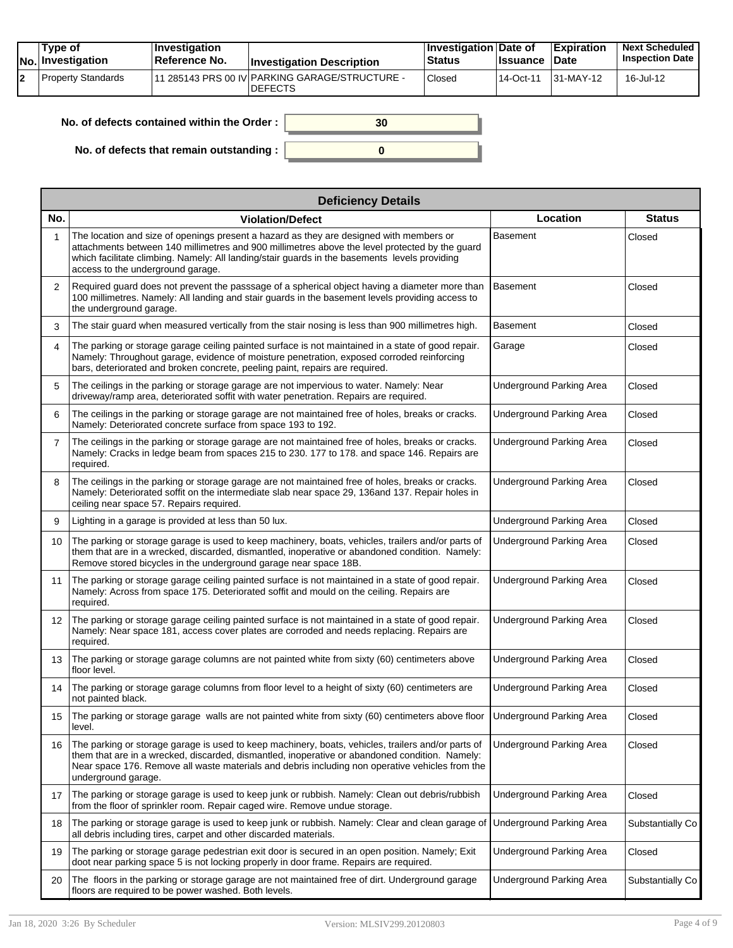| Tvpe of<br>No. Investigation | <b>Investigation</b><br>⊺Reference No. | <b>Investigation Description</b>                                  | ∣Investigation Date of<br>Status | <b>Issuance</b> | <b>Expiration</b><br><b>∣Date</b> | <b>Next Scheduled</b><br><b>Inspection Date</b> |
|------------------------------|----------------------------------------|-------------------------------------------------------------------|----------------------------------|-----------------|-----------------------------------|-------------------------------------------------|
| Property Standards           |                                        | 111 285143 PRS 00 IV PARKING GARAGE/STRUCTURE -<br><b>DEFECTS</b> | Closed                           | $114$ -Oct-11   | $ 31-MAY-12 $                     | 16-Jul-12                                       |

| No. of defects contained within the Order: | 30 |
|--------------------------------------------|----|
| No. of defects that remain outstanding :   |    |

|                 | <b>Deficiency Details</b>                                                                                                                                                                                                                                                                                                       |                                 |                  |
|-----------------|---------------------------------------------------------------------------------------------------------------------------------------------------------------------------------------------------------------------------------------------------------------------------------------------------------------------------------|---------------------------------|------------------|
| No.             | <b>Violation/Defect</b>                                                                                                                                                                                                                                                                                                         | Location                        | <b>Status</b>    |
| 1               | The location and size of openings present a hazard as they are designed with members or<br>attachments between 140 millimetres and 900 millimetres above the level protected by the guard<br>which facilitate climbing. Namely: All landing/stair guards in the basements levels providing<br>access to the underground garage. | <b>Basement</b>                 | Closed           |
| 2               | Required guard does not prevent the passsage of a spherical object having a diameter more than<br>100 millimetres. Namely: All landing and stair guards in the basement levels providing access to<br>the underground garage.                                                                                                   | <b>Basement</b>                 | Closed           |
| 3               | The stair guard when measured vertically from the stair nosing is less than 900 millimetres high.                                                                                                                                                                                                                               | <b>Basement</b>                 | Closed           |
| 4               | The parking or storage garage ceiling painted surface is not maintained in a state of good repair.<br>Namely: Throughout garage, evidence of moisture penetration, exposed corroded reinforcing<br>bars, deteriorated and broken concrete, peeling paint, repairs are required.                                                 | Garage                          | Closed           |
| 5               | The ceilings in the parking or storage garage are not impervious to water. Namely: Near<br>driveway/ramp area, deteriorated soffit with water penetration. Repairs are required.                                                                                                                                                | <b>Underground Parking Area</b> | Closed           |
| 6               | The ceilings in the parking or storage garage are not maintained free of holes, breaks or cracks.<br>Namely: Deteriorated concrete surface from space 193 to 192.                                                                                                                                                               | Underground Parking Area        | Closed           |
| $\overline{7}$  | The ceilings in the parking or storage garage are not maintained free of holes, breaks or cracks.<br>Namely: Cracks in ledge beam from spaces 215 to 230. 177 to 178. and space 146. Repairs are<br>required.                                                                                                                   | Underground Parking Area        | Closed           |
| 8               | The ceilings in the parking or storage garage are not maintained free of holes, breaks or cracks.<br>Namely: Deteriorated soffit on the intermediate slab near space 29, 136 and 137. Repair holes in<br>ceiling near space 57. Repairs required.                                                                               | <b>Underground Parking Area</b> | Closed           |
| 9               | Lighting in a garage is provided at less than 50 lux.                                                                                                                                                                                                                                                                           | <b>Underground Parking Area</b> | Closed           |
| 10              | The parking or storage garage is used to keep machinery, boats, vehicles, trailers and/or parts of<br>them that are in a wrecked, discarded, dismantled, inoperative or abandoned condition. Namely:<br>Remove stored bicycles in the underground garage near space 18B.                                                        | Underground Parking Area        | Closed           |
| 11              | The parking or storage garage ceiling painted surface is not maintained in a state of good repair.<br>Namely: Across from space 175. Deteriorated soffit and mould on the ceiling. Repairs are<br>required.                                                                                                                     | Underground Parking Area        | Closed           |
| 12 <sup>2</sup> | The parking or storage garage ceiling painted surface is not maintained in a state of good repair.<br>Namely: Near space 181, access cover plates are corroded and needs replacing. Repairs are<br>required.                                                                                                                    | Underground Parking Area        | Closed           |
| 13              | The parking or storage garage columns are not painted white from sixty (60) centimeters above<br>floor level.                                                                                                                                                                                                                   | Underground Parking Area        | Closed           |
| 14              | The parking or storage garage columns from floor level to a height of sixty (60) centimeters are<br>not painted black.                                                                                                                                                                                                          | Underground Parking Area        | Closed           |
| 15              | The parking or storage garage walls are not painted white from sixty (60) centimeters above floor<br>level.                                                                                                                                                                                                                     | <b>Underground Parking Area</b> | Closed           |
| 16              | The parking or storage garage is used to keep machinery, boats, vehicles, trailers and/or parts of<br>them that are in a wrecked, discarded, dismantled, inoperative or abandoned condition. Namely:<br>Near space 176. Remove all waste materials and debris including non operative vehicles from the<br>underground garage.  | <b>Underground Parking Area</b> | Closed           |
| 17              | The parking or storage garage is used to keep junk or rubbish. Namely: Clean out debris/rubbish<br>from the floor of sprinkler room. Repair caged wire. Remove undue storage.                                                                                                                                                   | <b>Underground Parking Area</b> | Closed           |
| 18              | The parking or storage garage is used to keep junk or rubbish. Namely: Clear and clean garage of<br>all debris including tires, carpet and other discarded materials.                                                                                                                                                           | Underground Parking Area        | Substantially Co |
| 19              | The parking or storage garage pedestrian exit door is secured in an open position. Namely; Exit<br>doot near parking space 5 is not locking properly in door frame. Repairs are required.                                                                                                                                       | Underground Parking Area        | Closed           |
| 20              | The floors in the parking or storage garage are not maintained free of dirt. Underground garage<br>floors are required to be power washed. Both levels.                                                                                                                                                                         | <b>Underground Parking Area</b> | Substantially Co |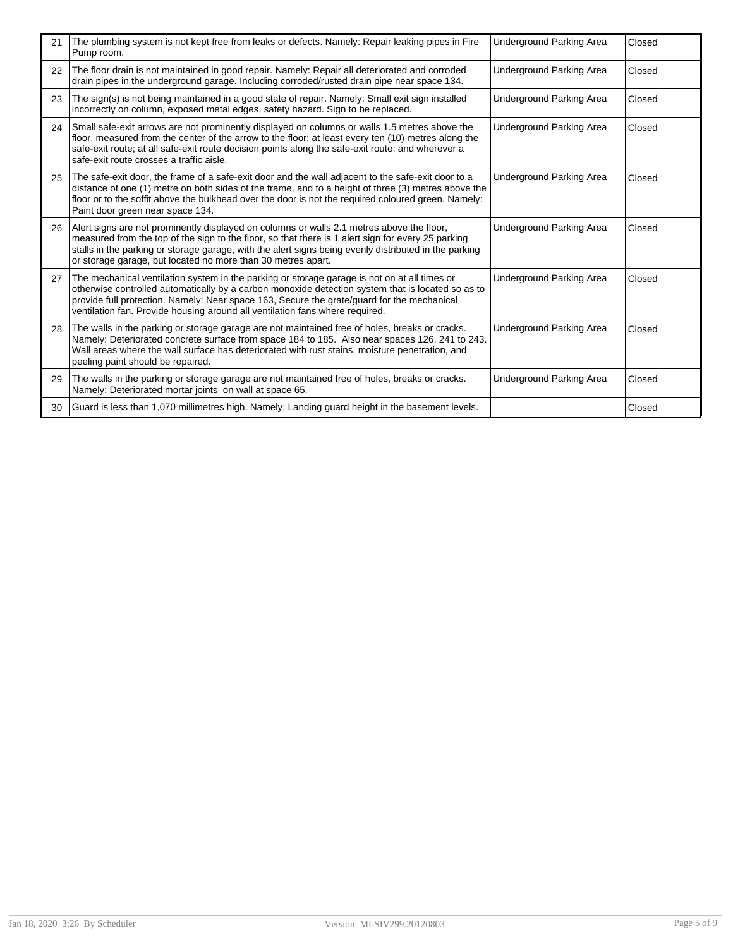| 21 | The plumbing system is not kept free from leaks or defects. Namely: Repair leaking pipes in Fire<br>Pump room.                                                                                                                                                                                                                                                                  | Underground Parking Area        | Closed |
|----|---------------------------------------------------------------------------------------------------------------------------------------------------------------------------------------------------------------------------------------------------------------------------------------------------------------------------------------------------------------------------------|---------------------------------|--------|
| 22 | The floor drain is not maintained in good repair. Namely: Repair all deteriorated and corroded<br>drain pipes in the underground garage. Including corroded/rusted drain pipe near space 134.                                                                                                                                                                                   | <b>Underground Parking Area</b> | Closed |
| 23 | The sign(s) is not being maintained in a good state of repair. Namely: Small exit sign installed<br>incorrectly on column, exposed metal edges, safety hazard. Sign to be replaced.                                                                                                                                                                                             | <b>Underground Parking Area</b> | Closed |
| 24 | Small safe-exit arrows are not prominently displayed on columns or walls 1.5 metres above the<br>floor, measured from the center of the arrow to the floor; at least every ten (10) metres along the<br>safe-exit route; at all safe-exit route decision points along the safe-exit route; and wherever a<br>safe-exit route crosses a traffic aisle.                           | Underground Parking Area        | Closed |
| 25 | The safe-exit door, the frame of a safe-exit door and the wall adjacent to the safe-exit door to a<br>distance of one (1) metre on both sides of the frame, and to a height of three (3) metres above the<br>floor or to the soffit above the bulkhead over the door is not the required coloured green. Namely:<br>Paint door green near space 134.                            | <b>Underground Parking Area</b> | Closed |
| 26 | Alert signs are not prominently displayed on columns or walls 2.1 metres above the floor,<br>measured from the top of the sign to the floor, so that there is 1 alert sign for every 25 parking<br>stalls in the parking or storage garage, with the alert signs being evenly distributed in the parking<br>or storage garage, but located no more than 30 metres apart.        | Underground Parking Area        | Closed |
| 27 | The mechanical ventilation system in the parking or storage garage is not on at all times or<br>otherwise controlled automatically by a carbon monoxide detection system that is located so as to<br>provide full protection. Namely: Near space 163, Secure the grate/guard for the mechanical<br>ventilation fan. Provide housing around all ventilation fans where required. | <b>Underground Parking Area</b> | Closed |
| 28 | The walls in the parking or storage garage are not maintained free of holes, breaks or cracks.<br>Namely: Deteriorated concrete surface from space 184 to 185. Also near spaces 126, 241 to 243.<br>Wall areas where the wall surface has deteriorated with rust stains, moisture penetration, and<br>peeling paint should be repaired.                                         | Underground Parking Area        | Closed |
| 29 | The walls in the parking or storage garage are not maintained free of holes, breaks or cracks.<br>Namely: Deteriorated mortar joints on wall at space 65.                                                                                                                                                                                                                       | Underground Parking Area        | Closed |
| 30 | Guard is less than 1,070 millimetres high. Namely: Landing guard height in the basement levels.                                                                                                                                                                                                                                                                                 |                                 | Closed |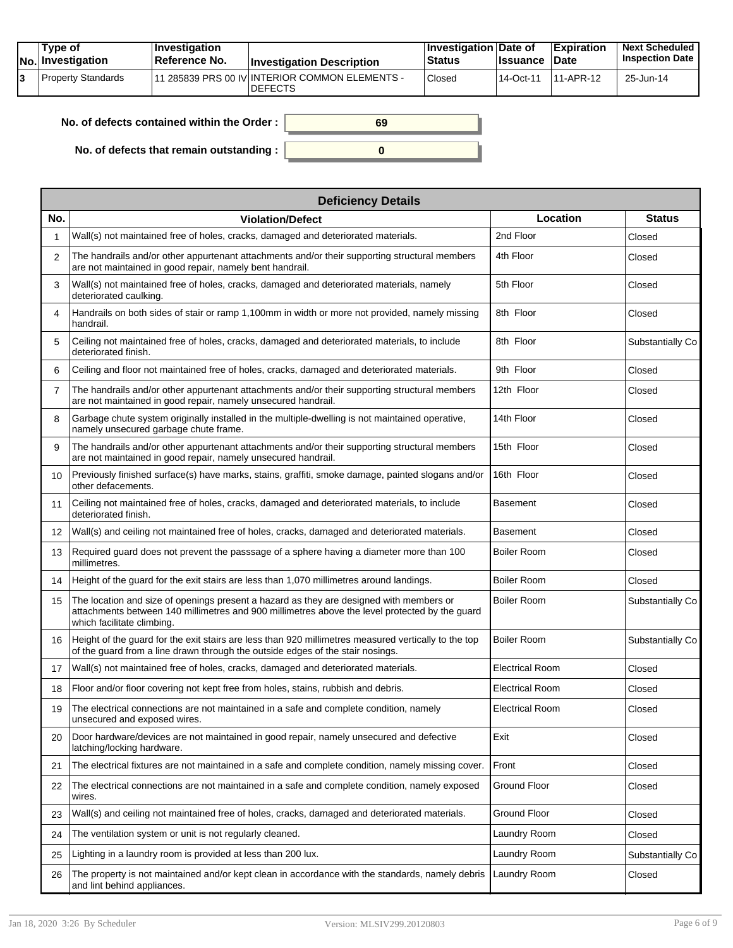|  | Tvpe of<br>$ No $ Investigation | <b>Investigation</b><br>Reference No. | <b>Investigation Description</b>                                              | <b>Investigation Date of</b><br><b>Status</b> | <b>Issuance Date</b> | Expiration | <b>Next Scheduled</b><br><b>Inspection Date</b> |
|--|---------------------------------|---------------------------------------|-------------------------------------------------------------------------------|-----------------------------------------------|----------------------|------------|-------------------------------------------------|
|  | Property Standards              |                                       | <sup>1</sup> 11 285839 PRS 00 IV INTERIOR COMMON ELEMENTS -<br><b>DEFECTS</b> | Closed                                        | 114-Oct-11           | 11-APR-12  | 25-Jun-14                                       |

| No. of defects contained within the Order: | 69 |
|--------------------------------------------|----|
| No. of defects that remain outstanding :   |    |

|                 | <b>Deficiency Details</b>                                                                                                                                                                                               |                        |                  |
|-----------------|-------------------------------------------------------------------------------------------------------------------------------------------------------------------------------------------------------------------------|------------------------|------------------|
| No.             | <b>Violation/Defect</b>                                                                                                                                                                                                 | Location               | <b>Status</b>    |
| 1               | Wall(s) not maintained free of holes, cracks, damaged and deteriorated materials.                                                                                                                                       | 2nd Floor              | Closed           |
| 2               | The handrails and/or other appurtenant attachments and/or their supporting structural members<br>are not maintained in good repair, namely bent handrail.                                                               | 4th Floor              | Closed           |
| 3               | Wall(s) not maintained free of holes, cracks, damaged and deteriorated materials, namely<br>deteriorated caulking.                                                                                                      | 5th Floor              | Closed           |
| 4               | Handrails on both sides of stair or ramp 1,100mm in width or more not provided, namely missing<br>handrail.                                                                                                             | 8th Floor              | Closed           |
| 5               | Ceiling not maintained free of holes, cracks, damaged and deteriorated materials, to include<br>deteriorated finish.                                                                                                    | 8th Floor              | Substantially Co |
| 6               | Ceiling and floor not maintained free of holes, cracks, damaged and deteriorated materials.                                                                                                                             | 9th Floor              | Closed           |
| 7               | The handrails and/or other appurtenant attachments and/or their supporting structural members<br>are not maintained in good repair, namely unsecured handrail.                                                          | 12th Floor             | Closed           |
| 8               | Garbage chute system originally installed in the multiple-dwelling is not maintained operative,<br>namely unsecured garbage chute frame.                                                                                | 14th Floor             | Closed           |
| 9               | The handrails and/or other appurtenant attachments and/or their supporting structural members<br>are not maintained in good repair, namely unsecured handrail.                                                          | 15th Floor             | Closed           |
| 10              | Previously finished surface(s) have marks, stains, graffiti, smoke damage, painted slogans and/or<br>other defacements.                                                                                                 | 16th Floor             | Closed           |
| 11              | Ceiling not maintained free of holes, cracks, damaged and deteriorated materials, to include<br>deteriorated finish.                                                                                                    | <b>Basement</b>        | Closed           |
| 12 <sup>2</sup> | Wall(s) and ceiling not maintained free of holes, cracks, damaged and deteriorated materials.                                                                                                                           | Basement               | Closed           |
| 13              | Required guard does not prevent the passsage of a sphere having a diameter more than 100<br>millimetres.                                                                                                                | <b>Boiler Room</b>     | Closed           |
| 14              | Height of the guard for the exit stairs are less than 1,070 millimetres around landings.                                                                                                                                | <b>Boiler Room</b>     | Closed           |
| 15              | The location and size of openings present a hazard as they are designed with members or<br>attachments between 140 millimetres and 900 millimetres above the level protected by the guard<br>which facilitate climbing. | Boiler Room            | Substantially Co |
| 16              | Height of the guard for the exit stairs are less than 920 millimetres measured vertically to the top<br>of the guard from a line drawn through the outside edges of the stair nosings.                                  | Boiler Room            | Substantially Co |
| 17              | Wall(s) not maintained free of holes, cracks, damaged and deteriorated materials.                                                                                                                                       | <b>Electrical Room</b> | Closed           |
| 18              | Floor and/or floor covering not kept free from holes, stains, rubbish and debris.                                                                                                                                       | Electrical Room        | Closed           |
| 19              | The electrical connections are not maintained in a safe and complete condition, namely<br>unsecured and exposed wires.                                                                                                  | <b>Electrical Room</b> | Closed           |
| 20              | Door hardware/devices are not maintained in good repair, namely unsecured and defective<br>latching/locking hardware.                                                                                                   | Exit                   | Closed           |
| 21              | The electrical fixtures are not maintained in a safe and complete condition, namely missing cover.                                                                                                                      | Front                  | Closed           |
| 22              | The electrical connections are not maintained in a safe and complete condition, namely exposed<br>wires.                                                                                                                | Ground Floor           | Closed           |
| 23              | Wall(s) and ceiling not maintained free of holes, cracks, damaged and deteriorated materials.                                                                                                                           | <b>Ground Floor</b>    | Closed           |
| 24              | The ventilation system or unit is not regularly cleaned.                                                                                                                                                                | Laundry Room           | Closed           |
| 25              | Lighting in a laundry room is provided at less than 200 lux.                                                                                                                                                            | Laundry Room           | Substantially Co |
| 26              | The property is not maintained and/or kept clean in accordance with the standards, namely debris<br>and lint behind appliances.                                                                                         | Laundry Room           | Closed           |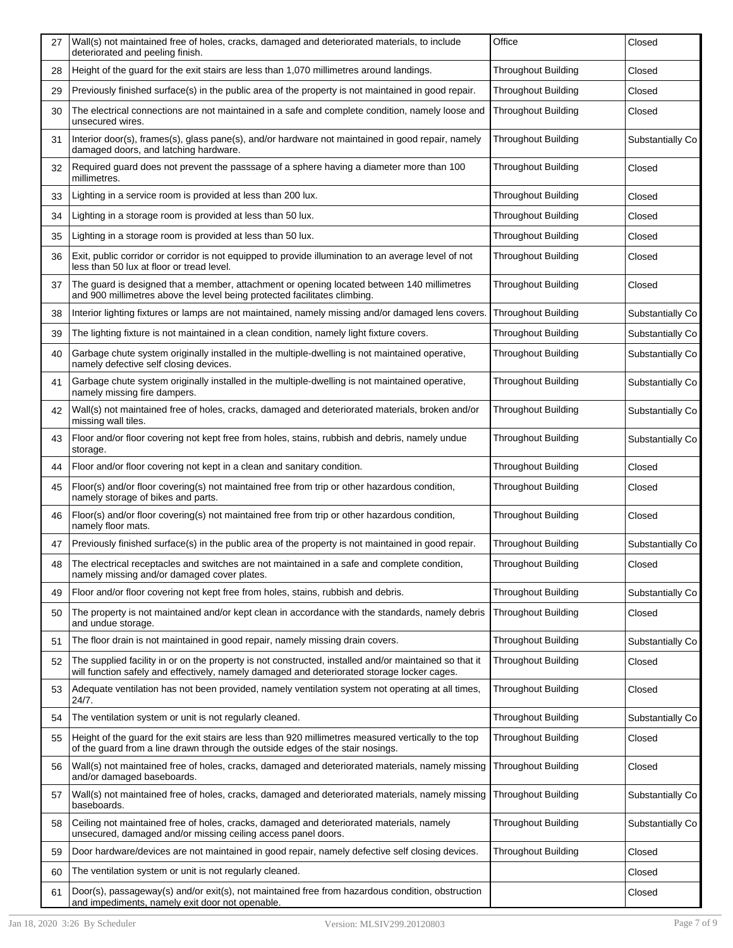| 27 | Wall(s) not maintained free of holes, cracks, damaged and deteriorated materials, to include<br>deteriorated and peeling finish.                                                                      | Office                     | Closed           |
|----|-------------------------------------------------------------------------------------------------------------------------------------------------------------------------------------------------------|----------------------------|------------------|
| 28 | Height of the guard for the exit stairs are less than 1,070 millimetres around landings.                                                                                                              | <b>Throughout Building</b> | Closed           |
| 29 | Previously finished surface(s) in the public area of the property is not maintained in good repair.                                                                                                   | <b>Throughout Building</b> | Closed           |
| 30 | The electrical connections are not maintained in a safe and complete condition, namely loose and<br>unsecured wires.                                                                                  | Throughout Building        | Closed           |
| 31 | Interior door(s), frames(s), glass pane(s), and/or hardware not maintained in good repair, namely<br>damaged doors, and latching hardware.                                                            | <b>Throughout Building</b> | Substantially Co |
| 32 | Required guard does not prevent the passsage of a sphere having a diameter more than 100<br>millimetres.                                                                                              | <b>Throughout Building</b> | Closed           |
| 33 | Lighting in a service room is provided at less than 200 lux.                                                                                                                                          | <b>Throughout Building</b> | Closed           |
| 34 | Lighting in a storage room is provided at less than 50 lux.                                                                                                                                           | <b>Throughout Building</b> | Closed           |
| 35 | Lighting in a storage room is provided at less than 50 lux.                                                                                                                                           | Throughout Building        | Closed           |
| 36 | Exit, public corridor or corridor is not equipped to provide illumination to an average level of not<br>less than 50 lux at floor or tread level.                                                     | <b>Throughout Building</b> | Closed           |
| 37 | The guard is designed that a member, attachment or opening located between 140 millimetres<br>and 900 millimetres above the level being protected facilitates climbing.                               | <b>Throughout Building</b> | Closed           |
| 38 | Interior lighting fixtures or lamps are not maintained, namely missing and/or damaged lens covers.                                                                                                    | <b>Throughout Building</b> | Substantially Co |
| 39 | The lighting fixture is not maintained in a clean condition, namely light fixture covers.                                                                                                             | <b>Throughout Building</b> | Substantially Co |
| 40 | Garbage chute system originally installed in the multiple-dwelling is not maintained operative,<br>namely defective self closing devices.                                                             | Throughout Building        | Substantially Co |
| 41 | Garbage chute system originally installed in the multiple-dwelling is not maintained operative,<br>namely missing fire dampers.                                                                       | <b>Throughout Building</b> | Substantially Co |
| 42 | Wall(s) not maintained free of holes, cracks, damaged and deteriorated materials, broken and/or<br>missing wall tiles.                                                                                | <b>Throughout Building</b> | Substantially Co |
| 43 | Floor and/or floor covering not kept free from holes, stains, rubbish and debris, namely undue<br>storage.                                                                                            | <b>Throughout Building</b> | Substantially Co |
| 44 | Floor and/or floor covering not kept in a clean and sanitary condition.                                                                                                                               | <b>Throughout Building</b> | Closed           |
| 45 | Floor(s) and/or floor covering(s) not maintained free from trip or other hazardous condition,<br>namely storage of bikes and parts.                                                                   | <b>Throughout Building</b> | Closed           |
| 46 | Floor(s) and/or floor covering(s) not maintained free from trip or other hazardous condition,<br>namely floor mats.                                                                                   | <b>Throughout Building</b> | Closed           |
| 47 | Previously finished surface(s) in the public area of the property is not maintained in good repair.                                                                                                   | <b>Throughout Building</b> | Substantially Co |
| 48 | The electrical receptacles and switches are not maintained in a safe and complete condition,<br>namely missing and/or damaged cover plates.                                                           | Throughout Building        | Closed           |
| 49 | Floor and/or floor covering not kept free from holes, stains, rubbish and debris.                                                                                                                     | <b>Throughout Building</b> | Substantially Co |
| 50 | The property is not maintained and/or kept clean in accordance with the standards, namely debris<br>and undue storage.                                                                                | <b>Throughout Building</b> | Closed           |
| 51 | The floor drain is not maintained in good repair, namely missing drain covers.                                                                                                                        | <b>Throughout Building</b> | Substantially Co |
| 52 | The supplied facility in or on the property is not constructed, installed and/or maintained so that it<br>will function safely and effectively, namely damaged and deteriorated storage locker cages. | <b>Throughout Building</b> | Closed           |
| 53 | Adequate ventilation has not been provided, namely ventilation system not operating at all times,<br>24/7.                                                                                            | <b>Throughout Building</b> | Closed           |
| 54 | The ventilation system or unit is not regularly cleaned.                                                                                                                                              | Throughout Building        | Substantially Co |
| 55 | Height of the guard for the exit stairs are less than 920 millimetres measured vertically to the top<br>of the guard from a line drawn through the outside edges of the stair nosings.                | <b>Throughout Building</b> | Closed           |
| 56 | Wall(s) not maintained free of holes, cracks, damaged and deteriorated materials, namely missing<br>and/or damaged baseboards.                                                                        | <b>Throughout Building</b> | Closed           |
| 57 | Wall(s) not maintained free of holes, cracks, damaged and deteriorated materials, namely missing<br>baseboards.                                                                                       | Throughout Building        | Substantially Co |
| 58 | Ceiling not maintained free of holes, cracks, damaged and deteriorated materials, namely<br>unsecured, damaged and/or missing ceiling access panel doors.                                             | Throughout Building        | Substantially Co |
| 59 | Door hardware/devices are not maintained in good repair, namely defective self closing devices.                                                                                                       | <b>Throughout Building</b> | Closed           |
| 60 | The ventilation system or unit is not regularly cleaned.                                                                                                                                              |                            | Closed           |
| 61 | Door(s), passageway(s) and/or exit(s), not maintained free from hazardous condition, obstruction<br>and impediments, namely exit door not openable.                                                   |                            | Closed           |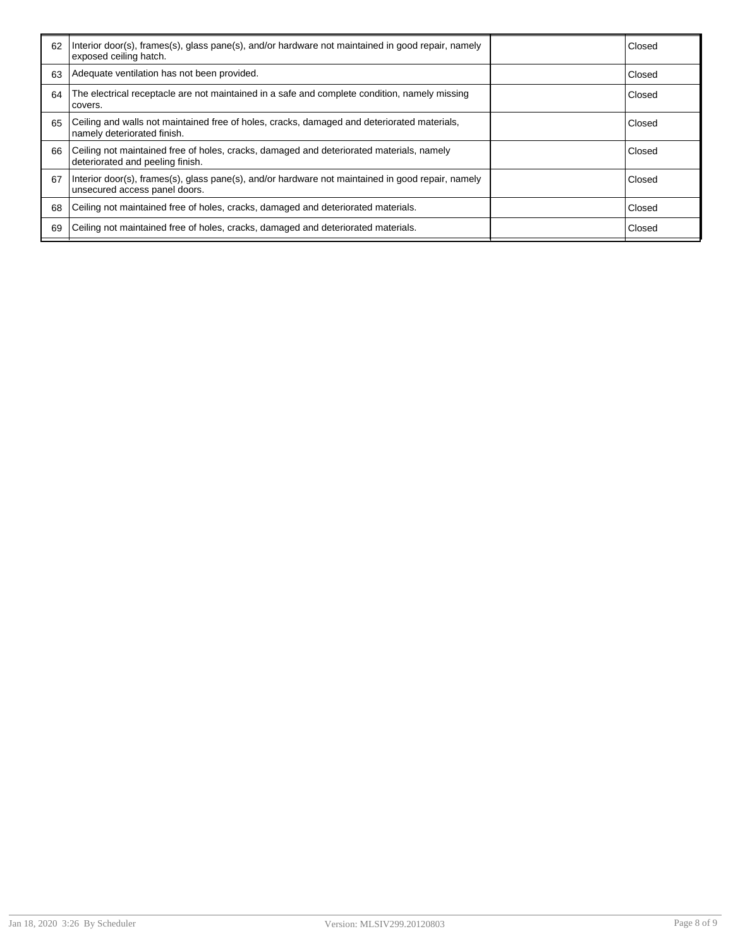| 62 | Interior door(s), frames(s), glass pane(s), and/or hardware not maintained in good repair, namely<br>exposed ceiling hatch.        | Closed        |
|----|------------------------------------------------------------------------------------------------------------------------------------|---------------|
| 63 | Adequate ventilation has not been provided.                                                                                        | Closed        |
| 64 | The electrical receptacle are not maintained in a safe and complete condition, namely missing<br>covers.                           | Closed        |
| 65 | Ceiling and walls not maintained free of holes, cracks, damaged and deteriorated materials,<br>namely deteriorated finish.         | <b>Closed</b> |
| 66 | Ceiling not maintained free of holes, cracks, damaged and deteriorated materials, namely<br>deteriorated and peeling finish.       | Closed        |
| 67 | Interior door(s), frames(s), glass pane(s), and/or hardware not maintained in good repair, namely<br>unsecured access panel doors. | Closed        |
| 68 | Ceiling not maintained free of holes, cracks, damaged and deteriorated materials.                                                  | Closed        |
| 69 | Ceiling not maintained free of holes, cracks, damaged and deteriorated materials.                                                  | Closed        |